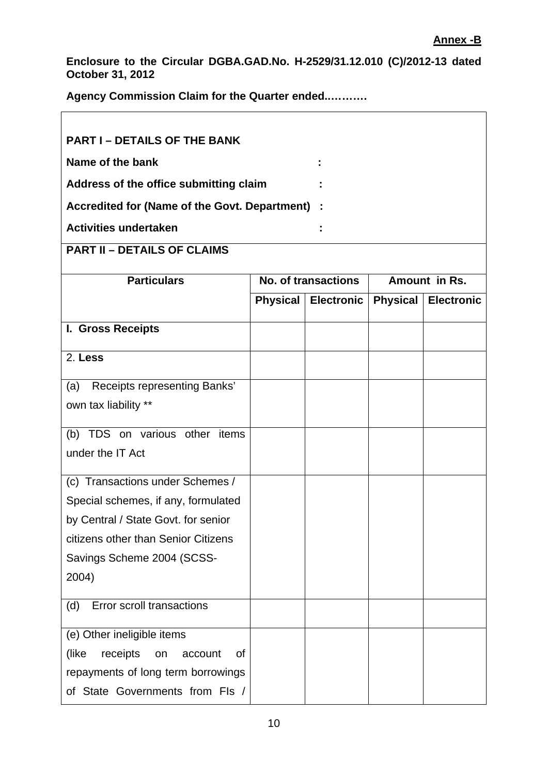٦

**Enclosure to the Circular DGBA.GAD.No. H-2529/31.12.010 (C)/2012-13 dated October 31, 2012** 

**Agency Commission Claim for the Quarter ended..……….** 

 $\overline{1}$ 

| <b>PART I - DETAILS OF THE BANK</b>           |                     |            |                 |                   |  |  |  |
|-----------------------------------------------|---------------------|------------|-----------------|-------------------|--|--|--|
| Name of the bank                              |                     |            |                 |                   |  |  |  |
| Address of the office submitting claim        |                     |            |                 |                   |  |  |  |
| Accredited for (Name of the Govt. Department) |                     |            |                 |                   |  |  |  |
| <b>Activities undertaken</b>                  |                     |            |                 |                   |  |  |  |
| <b>PART II - DETAILS OF CLAIMS</b>            |                     |            |                 |                   |  |  |  |
|                                               |                     |            |                 |                   |  |  |  |
| <b>Particulars</b>                            | No. of transactions |            | Amount in Rs.   |                   |  |  |  |
|                                               | <b>Physical</b>     | Electronic | <b>Physical</b> | <b>Electronic</b> |  |  |  |
| I. Gross Receipts                             |                     |            |                 |                   |  |  |  |
| 2. Less                                       |                     |            |                 |                   |  |  |  |
| Receipts representing Banks'<br>(a)           |                     |            |                 |                   |  |  |  |
| own tax liability **                          |                     |            |                 |                   |  |  |  |
| (b) TDS on various other items                |                     |            |                 |                   |  |  |  |
| under the IT Act                              |                     |            |                 |                   |  |  |  |
| (c) Transactions under Schemes /              |                     |            |                 |                   |  |  |  |
| Special schemes, if any, formulated           |                     |            |                 |                   |  |  |  |
| by Central / State Govt. for senior           |                     |            |                 |                   |  |  |  |
| citizens other than Senior Citizens           |                     |            |                 |                   |  |  |  |
| Savings Scheme 2004 (SCSS-                    |                     |            |                 |                   |  |  |  |
| 2004)                                         |                     |            |                 |                   |  |  |  |
| Error scroll transactions<br>(d)              |                     |            |                 |                   |  |  |  |
| (e) Other ineligible items                    |                     |            |                 |                   |  |  |  |
| (like)<br>receipts<br>οf<br>account<br>on     |                     |            |                 |                   |  |  |  |
| repayments of long term borrowings            |                     |            |                 |                   |  |  |  |
| of State Governments from FIs /               |                     |            |                 |                   |  |  |  |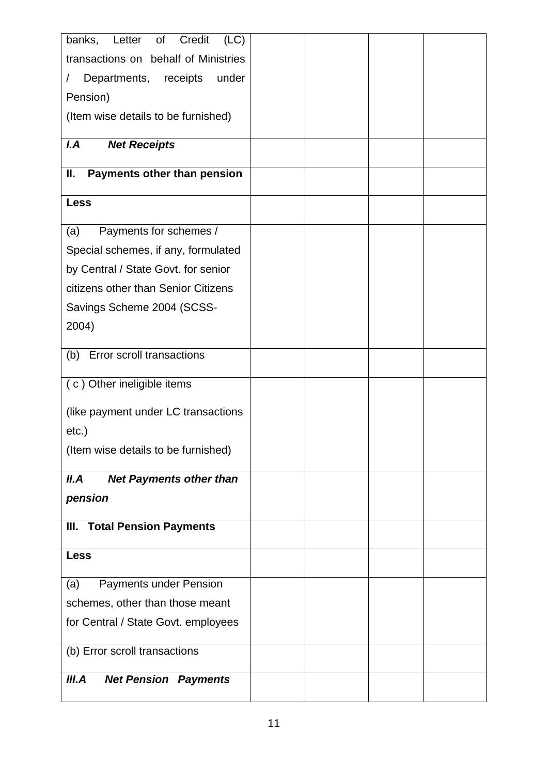| banks,<br>Letter of<br>Credit<br>(LC)      |  |  |
|--------------------------------------------|--|--|
| transactions on behalf of Ministries       |  |  |
| Departments, receipts<br>under<br>$\prime$ |  |  |
| Pension)                                   |  |  |
|                                            |  |  |
| (Item wise details to be furnished)        |  |  |
| I.A<br><b>Net Receipts</b>                 |  |  |
|                                            |  |  |
| Ⅱ.<br>Payments other than pension          |  |  |
| <b>Less</b>                                |  |  |
|                                            |  |  |
| Payments for schemes /<br>(a)              |  |  |
| Special schemes, if any, formulated        |  |  |
| by Central / State Govt. for senior        |  |  |
| citizens other than Senior Citizens        |  |  |
| Savings Scheme 2004 (SCSS-                 |  |  |
| 2004)                                      |  |  |
|                                            |  |  |
| (b) Error scroll transactions              |  |  |
| (c) Other ineligible items                 |  |  |
|                                            |  |  |
| (like payment under LC transactions        |  |  |
| $etc.$ )                                   |  |  |
| (Item wise details to be furnished)        |  |  |
|                                            |  |  |
| II.A<br><b>Net Payments other than</b>     |  |  |
| pension                                    |  |  |
| <b>III. Total Pension Payments</b>         |  |  |
|                                            |  |  |
| <b>Less</b>                                |  |  |
| <b>Payments under Pension</b><br>(a)       |  |  |
| schemes, other than those meant            |  |  |
| for Central / State Govt. employees        |  |  |
|                                            |  |  |
| (b) Error scroll transactions              |  |  |
|                                            |  |  |
| III.A<br><b>Net Pension Payments</b>       |  |  |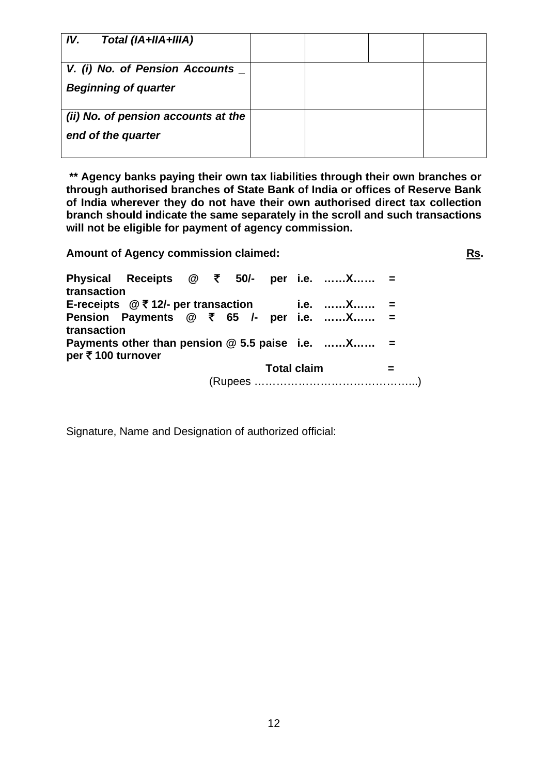| IV.<br>Total (IA+IIA+IIIA)          |  |  |
|-------------------------------------|--|--|
| V. (i) No. of Pension Accounts _    |  |  |
| <b>Beginning of quarter</b>         |  |  |
| (ii) No. of pension accounts at the |  |  |
| end of the quarter                  |  |  |
|                                     |  |  |

**\*\* Agency banks paying their own tax liabilities through their own branches or through authorised branches of State Bank of India or offices of Reserve Bank of India wherever they do not have their own authorised direct tax collection branch should indicate the same separately in the scroll and such transactions will not be eligible for payment of agency commission.** 

**Amount of Agency commission claimed:** 

**Rs.**

**Physical Receipts @ ₹ 50/transaction i.e. ……X…… = E-receipts @** ` **12/- per transaction i.e. ……X…… = Pension Payments @ ₹ 65 /- per i.e. ......X...... = transaction Payments other than pension @ 5.5 paise i.e. ……X…… = per** ` **100 turnover Total claim =**  (Rupees ……………………………………...)

Signature, Name and Designation of authorized official: